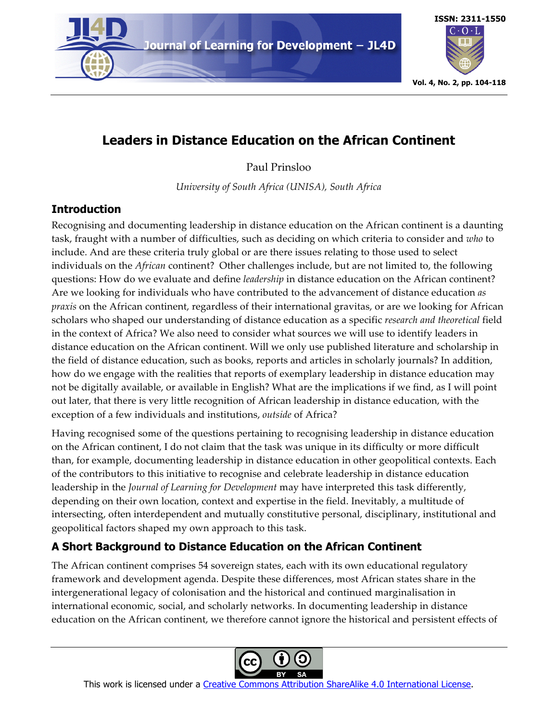

# **ISSN: 2311-1550**  $\text{C}\cdot\text{O}\cdot\text{L}$ **Vol. 4, No. 2, pp. 104-118**

# **Leaders in Distance Education on the African Continent**

Paul Prinsloo

*University of South Africa (UNISA), South Africa*

## **Introduction**

Recognising and documenting leadership in distance education on the African continent is a daunting task, fraught with a number of difficulties, such as deciding on which criteria to consider and *who* to include. And are these criteria truly global or are there issues relating to those used to select individuals on the *African* continent? Other challenges include, but are not limited to, the following questions: How do we evaluate and define *leadership* in distance education on the African continent? Are we looking for individuals who have contributed to the advancement of distance education *as praxis* on the African continent, regardless of their international gravitas, or are we looking for African scholars who shaped our understanding of distance education as a specific *research and theoretical* field in the context of Africa? We also need to consider what sources we will use to identify leaders in distance education on the African continent. Will we only use published literature and scholarship in the field of distance education, such as books, reports and articles in scholarly journals? In addition, how do we engage with the realities that reports of exemplary leadership in distance education may not be digitally available, or available in English? What are the implications if we find, as I will point out later, that there is very little recognition of African leadership in distance education, with the exception of a few individuals and institutions, *outside* of Africa?

Having recognised some of the questions pertaining to recognising leadership in distance education on the African continent, I do not claim that the task was unique in its difficulty or more difficult than, for example, documenting leadership in distance education in other geopolitical contexts. Each of the contributors to this initiative to recognise and celebrate leadership in distance education leadership in the *Journal of Learning for Development* may have interpreted this task differently, depending on their own location, context and expertise in the field. Inevitably, a multitude of intersecting, often interdependent and mutually constitutive personal, disciplinary, institutional and geopolitical factors shaped my own approach to this task.

# **A Short Background to Distance Education on the African Continent**

The African continent comprises 54 sovereign states, each with its own educational regulatory framework and development agenda. Despite these differences, most African states share in the intergenerational legacy of colonisation and the historical and continued marginalisation in international economic, social, and scholarly networks. In documenting leadership in distance education on the African continent, we therefore cannot ignore the historical and persistent effects of



This work is licensed under a Creative Commons Attribution ShareAlike 4.0 International License.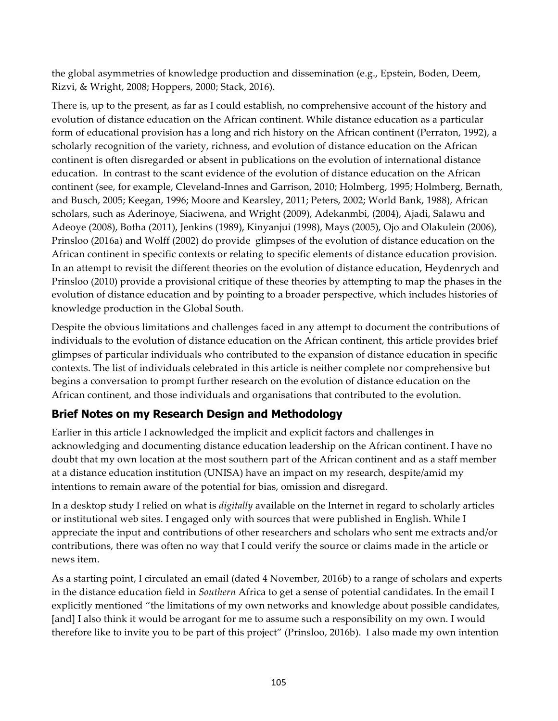the global asymmetries of knowledge production and dissemination (e.g., Epstein, Boden, Deem, Rizvi, & Wright, 2008; Hoppers, 2000; Stack, 2016).

There is, up to the present, as far as I could establish, no comprehensive account of the history and evolution of distance education on the African continent. While distance education as a particular form of educational provision has a long and rich history on the African continent (Perraton, 1992), a scholarly recognition of the variety, richness, and evolution of distance education on the African continent is often disregarded or absent in publications on the evolution of international distance education. In contrast to the scant evidence of the evolution of distance education on the African continent (see, for example, Cleveland-Innes and Garrison, 2010; Holmberg, 1995; Holmberg, Bernath, and Busch, 2005; Keegan, 1996; Moore and Kearsley, 2011; Peters, 2002; World Bank, 1988), African scholars, such as Aderinoye, Siaciwena, and Wright (2009), Adekanmbi, (2004), Ajadi, Salawu and Adeoye (2008), Botha (2011), Jenkins (1989), Kinyanjui (1998), Mays (2005), Ojo and Olakulein (2006), Prinsloo (2016a) and Wolff (2002) do provide glimpses of the evolution of distance education on the African continent in specific contexts or relating to specific elements of distance education provision. In an attempt to revisit the different theories on the evolution of distance education, Heydenrych and Prinsloo (2010) provide a provisional critique of these theories by attempting to map the phases in the evolution of distance education and by pointing to a broader perspective, which includes histories of knowledge production in the Global South.

Despite the obvious limitations and challenges faced in any attempt to document the contributions of individuals to the evolution of distance education on the African continent, this article provides brief glimpses of particular individuals who contributed to the expansion of distance education in specific contexts. The list of individuals celebrated in this article is neither complete nor comprehensive but begins a conversation to prompt further research on the evolution of distance education on the African continent, and those individuals and organisations that contributed to the evolution.

## **Brief Notes on my Research Design and Methodology**

Earlier in this article I acknowledged the implicit and explicit factors and challenges in acknowledging and documenting distance education leadership on the African continent. I have no doubt that my own location at the most southern part of the African continent and as a staff member at a distance education institution (UNISA) have an impact on my research, despite/amid my intentions to remain aware of the potential for bias, omission and disregard.

In a desktop study I relied on what is *digitally* available on the Internet in regard to scholarly articles or institutional web sites. I engaged only with sources that were published in English. While I appreciate the input and contributions of other researchers and scholars who sent me extracts and/or contributions, there was often no way that I could verify the source or claims made in the article or news item.

As a starting point, I circulated an email (dated 4 November, 2016b) to a range of scholars and experts in the distance education field in *Southern* Africa to get a sense of potential candidates. In the email I explicitly mentioned "the limitations of my own networks and knowledge about possible candidates, [and] I also think it would be arrogant for me to assume such a responsibility on my own. I would therefore like to invite you to be part of this project" (Prinsloo, 2016b). I also made my own intention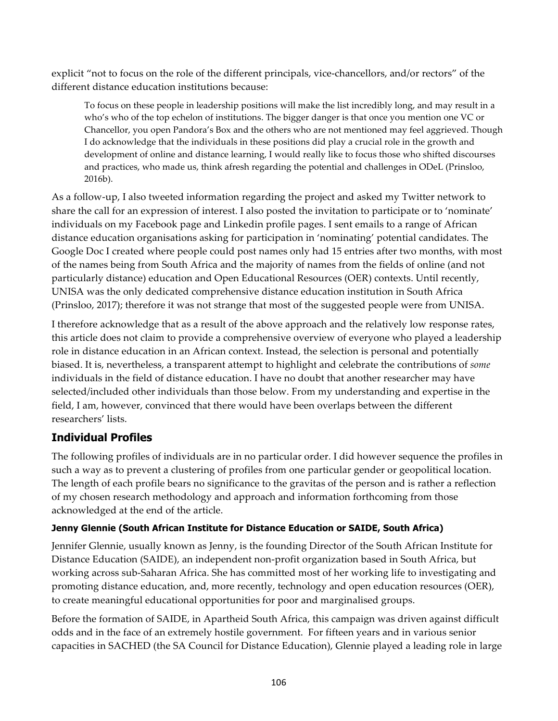explicit "not to focus on the role of the different principals, vice-chancellors, and/or rectors" of the different distance education institutions because:

To focus on these people in leadership positions will make the list incredibly long, and may result in a who's who of the top echelon of institutions. The bigger danger is that once you mention one VC or Chancellor, you open Pandora's Box and the others who are not mentioned may feel aggrieved. Though I do acknowledge that the individuals in these positions did play a crucial role in the growth and development of online and distance learning, I would really like to focus those who shifted discourses and practices, who made us, think afresh regarding the potential and challenges in ODeL (Prinsloo, 2016b).

As a follow-up, I also tweeted information regarding the project and asked my Twitter network to share the call for an expression of interest. I also posted the invitation to participate or to 'nominate' individuals on my Facebook page and Linkedin profile pages. I sent emails to a range of African distance education organisations asking for participation in 'nominating' potential candidates. The Google Doc I created where people could post names only had 15 entries after two months, with most of the names being from South Africa and the majority of names from the fields of online (and not particularly distance) education and Open Educational Resources (OER) contexts. Until recently, UNISA was the only dedicated comprehensive distance education institution in South Africa (Prinsloo, 2017); therefore it was not strange that most of the suggested people were from UNISA.

I therefore acknowledge that as a result of the above approach and the relatively low response rates, this article does not claim to provide a comprehensive overview of everyone who played a leadership role in distance education in an African context. Instead, the selection is personal and potentially biased. It is, nevertheless, a transparent attempt to highlight and celebrate the contributions of *some* individuals in the field of distance education. I have no doubt that another researcher may have selected/included other individuals than those below. From my understanding and expertise in the field, I am, however, convinced that there would have been overlaps between the different researchers' lists.

## **Individual Profiles**

The following profiles of individuals are in no particular order. I did however sequence the profiles in such a way as to prevent a clustering of profiles from one particular gender or geopolitical location. The length of each profile bears no significance to the gravitas of the person and is rather a reflection of my chosen research methodology and approach and information forthcoming from those acknowledged at the end of the article.

## **Jenny Glennie (South African Institute for Distance Education or SAIDE, South Africa)**

Jennifer Glennie, usually known as Jenny, is the founding Director of the South African Institute for Distance Education (SAIDE), an independent non-profit organization based in South Africa, but working across sub-Saharan Africa. She has committed most of her working life to investigating and promoting distance education, and, more recently, technology and open education resources (OER), to create meaningful educational opportunities for poor and marginalised groups.

Before the formation of SAIDE, in Apartheid South Africa, this campaign was driven against difficult odds and in the face of an extremely hostile government. For fifteen years and in various senior capacities in SACHED (the SA Council for Distance Education), Glennie played a leading role in large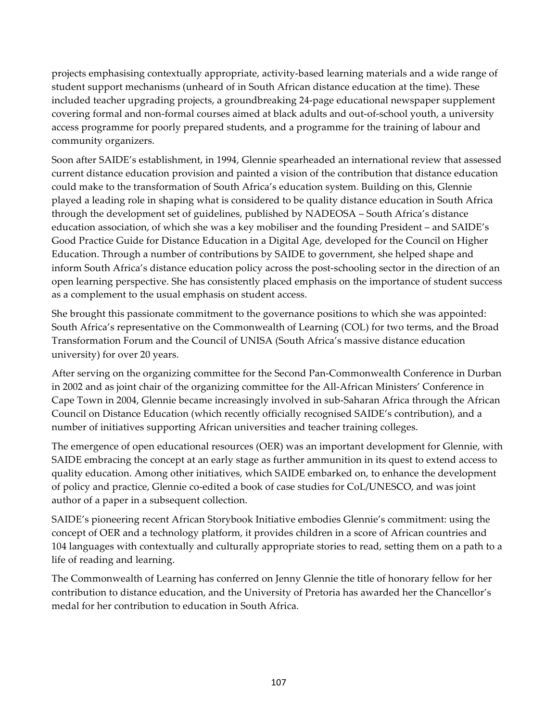projects emphasising contextually appropriate, activity-based learning materials and a wide range of student support mechanisms (unheard of in South African distance education at the time). These included teacher upgrading projects, a groundbreaking 24-page educational newspaper supplement covering formal and non-formal courses aimed at black adults and out-of-school youth, a university access programme for poorly prepared students, and a programme for the training of labour and community organizers.

Soon after SAIDE's establishment, in 1994, Glennie spearheaded an international review that assessed current distance education provision and painted a vision of the contribution that distance education could make to the transformation of South Africa's education system. Building on this, Glennie played a leading role in shaping what is considered to be quality distance education in South Africa through the development set of guidelines, published by NADEOSA – South Africa's distance education association, of which she was a key mobiliser and the founding President – and SAIDE's Good Practice Guide for Distance Education in a Digital Age, developed for the Council on Higher Education. Through a number of contributions by SAIDE to government, she helped shape and inform South Africa's distance education policy across the post-schooling sector in the direction of an open learning perspective. She has consistently placed emphasis on the importance of student success as a complement to the usual emphasis on student access.

She brought this passionate commitment to the governance positions to which she was appointed: South Africa's representative on the Commonwealth of Learning (COL) for two terms, and the Broad Transformation Forum and the Council of UNISA (South Africa's massive distance education university) for over 20 years.

After serving on the organizing committee for the Second Pan-Commonwealth Conference in Durban in 2002 and as joint chair of the organizing committee for the All-African Ministers' Conference in Cape Town in 2004, Glennie became increasingly involved in sub-Saharan Africa through the African Council on Distance Education (which recently officially recognised SAIDE's contribution), and a number of initiatives supporting African universities and teacher training colleges.

The emergence of open educational resources (OER) was an important development for Glennie, with SAIDE embracing the concept at an early stage as further ammunition in its quest to extend access to quality education. Among other initiatives, which SAIDE embarked on, to enhance the development of policy and practice, Glennie co-edited a book of case studies for CoL/UNESCO, and was joint author of a paper in a subsequent collection.

SAIDE's pioneering recent African Storybook Initiative embodies Glennie's commitment: using the concept of OER and a technology platform, it provides children in a score of African countries and 104 languages with contextually and culturally appropriate stories to read, setting them on a path to a life of reading and learning.

The Commonwealth of Learning has conferred on Jenny Glennie the title of honorary fellow for her contribution to distance education, and the University of Pretoria has awarded her the Chancellor's medal for her contribution to education in South Africa.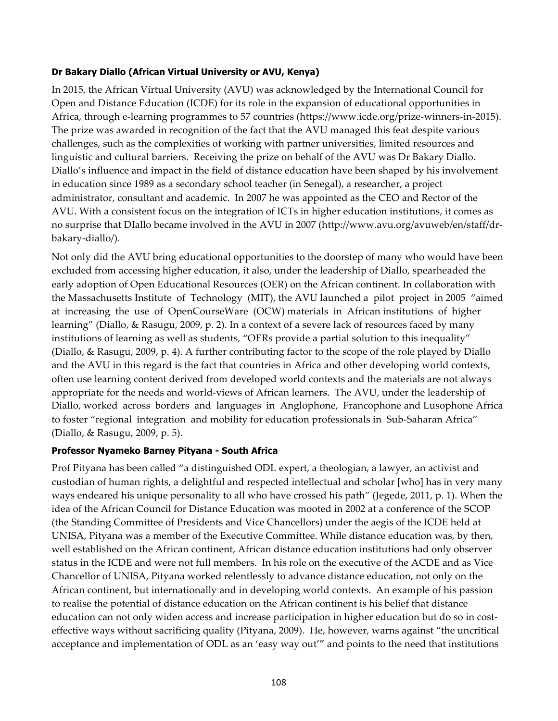#### **Dr Bakary Diallo (African Virtual University or AVU, Kenya)**

In 2015, the African Virtual University (AVU) was acknowledged by the International Council for Open and Distance Education (ICDE) for its role in the expansion of educational opportunities in Africa, through e-learning programmes to 57 countries (https://www.icde.org/prize-winners-in-2015). The prize was awarded in recognition of the fact that the AVU managed this feat despite various challenges, such as the complexities of working with partner universities, limited resources and linguistic and cultural barriers. Receiving the prize on behalf of the AVU was Dr Bakary Diallo. Diallo's influence and impact in the field of distance education have been shaped by his involvement in education since 1989 as a secondary school teacher (in Senegal), a researcher, a project administrator, consultant and academic. In 2007 he was appointed as the CEO and Rector of the AVU. With a consistent focus on the integration of ICTs in higher education institutions, it comes as no surprise that DIallo became involved in the AVU in 2007 (http://www.avu.org/avuweb/en/staff/drbakary-diallo/).

Not only did the AVU bring educational opportunities to the doorstep of many who would have been excluded from accessing higher education, it also, under the leadership of Diallo, spearheaded the early adoption of Open Educational Resources (OER) on the African continent. In collaboration with the Massachusetts Institute of Technology (MIT), the AVU launched a pilot project in 2005 "aimed at increasing the use of OpenCourseWare (OCW) materials in African institutions of higher learning" (Diallo, & Rasugu, 2009, p. 2). In a context of a severe lack of resources faced by many institutions of learning as well as students, "OERs provide a partial solution to this inequality" (Diallo, & Rasugu, 2009, p. 4). A further contributing factor to the scope of the role played by Diallo and the AVU in this regard is the fact that countries in Africa and other developing world contexts, often use learning content derived from developed world contexts and the materials are not always appropriate for the needs and world-views of African learners. The AVU, under the leadership of Diallo, worked across borders and languages in Anglophone, Francophone and Lusophone Africa to foster "regional integration and mobility for education professionals in Sub-Saharan Africa" (Diallo, & Rasugu, 2009, p. 5).

#### **Professor Nyameko Barney Pityana - South Africa**

Prof Pityana has been called "a distinguished ODL expert, a theologian, a lawyer, an activist and custodian of human rights, a delightful and respected intellectual and scholar [who] has in very many ways endeared his unique personality to all who have crossed his path" (Jegede, 2011, p. 1). When the idea of the African Council for Distance Education was mooted in 2002 at a conference of the SCOP (the Standing Committee of Presidents and Vice Chancellors) under the aegis of the ICDE held at UNISA, Pityana was a member of the Executive Committee. While distance education was, by then, well established on the African continent, African distance education institutions had only observer status in the ICDE and were not full members. In his role on the executive of the ACDE and as Vice Chancellor of UNISA, Pityana worked relentlessly to advance distance education, not only on the African continent, but internationally and in developing world contexts. An example of his passion to realise the potential of distance education on the African continent is his belief that distance education can not only widen access and increase participation in higher education but do so in costeffective ways without sacrificing quality (Pityana, 2009). He, however, warns against "the uncritical acceptance and implementation of ODL as an 'easy way out'" and points to the need that institutions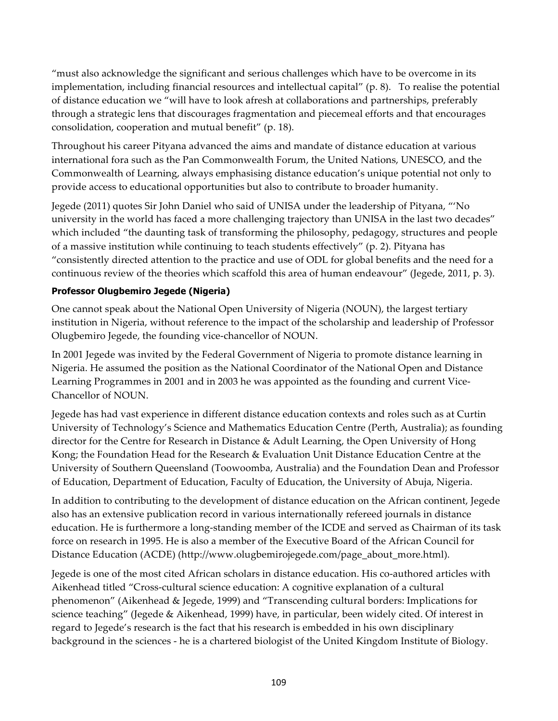"must also acknowledge the significant and serious challenges which have to be overcome in its implementation, including financial resources and intellectual capital" (p. 8). To realise the potential of distance education we "will have to look afresh at collaborations and partnerships, preferably through a strategic lens that discourages fragmentation and piecemeal efforts and that encourages consolidation, cooperation and mutual benefit" (p. 18).

Throughout his career Pityana advanced the aims and mandate of distance education at various international fora such as the Pan Commonwealth Forum, the United Nations, UNESCO, and the Commonwealth of Learning, always emphasising distance education's unique potential not only to provide access to educational opportunities but also to contribute to broader humanity.

Jegede (2011) quotes Sir John Daniel who said of UNISA under the leadership of Pityana, "'No university in the world has faced a more challenging trajectory than UNISA in the last two decades" which included "the daunting task of transforming the philosophy, pedagogy, structures and people of a massive institution while continuing to teach students effectively" (p. 2). Pityana has "consistently directed attention to the practice and use of ODL for global benefits and the need for a continuous review of the theories which scaffold this area of human endeavour" (Jegede, 2011, p. 3).

#### **Professor Olugbemiro Jegede (Nigeria)**

One cannot speak about the National Open University of Nigeria (NOUN), the largest tertiary institution in Nigeria, without reference to the impact of the scholarship and leadership of Professor Olugbemiro Jegede, the founding vice-chancellor of NOUN.

In 2001 Jegede was invited by the Federal Government of Nigeria to promote distance learning in Nigeria. He assumed the position as the National Coordinator of the National Open and Distance Learning Programmes in 2001 and in 2003 he was appointed as the founding and current Vice-Chancellor of NOUN.

Jegede has had vast experience in different distance education contexts and roles such as at Curtin University of Technology's Science and Mathematics Education Centre (Perth, Australia); as founding director for the Centre for Research in Distance & Adult Learning, the Open University of Hong Kong; the Foundation Head for the Research & Evaluation Unit Distance Education Centre at the University of Southern Queensland (Toowoomba, Australia) and the Foundation Dean and Professor of Education, Department of Education, Faculty of Education, the University of Abuja, Nigeria.

In addition to contributing to the development of distance education on the African continent, Jegede also has an extensive publication record in various internationally refereed journals in distance education. He is furthermore a long-standing member of the ICDE and served as Chairman of its task force on research in 1995. He is also a member of the Executive Board of the African Council for Distance Education (ACDE) (http://www.olugbemirojegede.com/page\_about\_more.html).

Jegede is one of the most cited African scholars in distance education. His co-authored articles with Aikenhead titled "Cross-cultural science education: A cognitive explanation of a cultural phenomenon" (Aikenhead & Jegede, 1999) and "Transcending cultural borders: Implications for science teaching" (Jegede & Aikenhead, 1999) have, in particular, been widely cited. Of interest in regard to Jegede's research is the fact that his research is embedded in his own disciplinary background in the sciences - he is a chartered biologist of the United Kingdom Institute of Biology.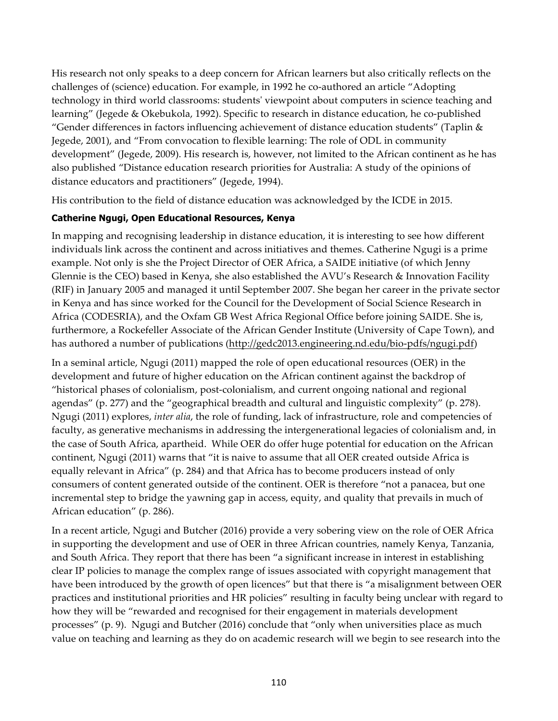His research not only speaks to a deep concern for African learners but also critically reflects on the challenges of (science) education. For example, in 1992 he co-authored an article "Adopting technology in third world classrooms: students' viewpoint about computers in science teaching and learning" (Jegede & Okebukola, 1992). Specific to research in distance education, he co-published "Gender differences in factors influencing achievement of distance education students" (Taplin & Jegede, 2001), and "From convocation to flexible learning: The role of ODL in community development" (Jegede, 2009). His research is, however, not limited to the African continent as he has also published "Distance education research priorities for Australia: A study of the opinions of distance educators and practitioners" (Jegede, 1994).

His contribution to the field of distance education was acknowledged by the ICDE in 2015.

## **Catherine Ngugi, Open Educational Resources, Kenya**

In mapping and recognising leadership in distance education, it is interesting to see how different individuals link across the continent and across initiatives and themes. Catherine Ngugi is a prime example. Not only is she the Project Director of OER Africa, a SAIDE initiative (of which Jenny Glennie is the CEO) based in Kenya, she also established the AVU's Research & Innovation Facility (RIF) in January 2005 and managed it until September 2007. She began her career in the private sector in Kenya and has since worked for the Council for the Development of Social Science Research in Africa (CODESRIA), and the Oxfam GB West Africa Regional Office before joining SAIDE. She is, furthermore, a Rockefeller Associate of the African Gender Institute (University of Cape Town), and has authored a number of publications (http://gedc2013.engineering.nd.edu/bio-pdfs/ngugi.pdf)

In a seminal article, Ngugi (2011) mapped the role of open educational resources (OER) in the development and future of higher education on the African continent against the backdrop of "historical phases of colonialism, post-colonialism, and current ongoing national and regional agendas" (p. 277) and the "geographical breadth and cultural and linguistic complexity" (p. 278). Ngugi (2011) explores, *inter alia*, the role of funding, lack of infrastructure, role and competencies of faculty, as generative mechanisms in addressing the intergenerational legacies of colonialism and, in the case of South Africa, apartheid. While OER do offer huge potential for education on the African continent, Ngugi (2011) warns that "it is naive to assume that all OER created outside Africa is equally relevant in Africa" (p. 284) and that Africa has to become producers instead of only consumers of content generated outside of the continent. OER is therefore "not a panacea, but one incremental step to bridge the yawning gap in access, equity, and quality that prevails in much of African education" (p. 286).

In a recent article, Ngugi and Butcher (2016) provide a very sobering view on the role of OER Africa in supporting the development and use of OER in three African countries, namely Kenya, Tanzania, and South Africa. They report that there has been "a significant increase in interest in establishing clear IP policies to manage the complex range of issues associated with copyright management that have been introduced by the growth of open licences" but that there is "a misalignment between OER practices and institutional priorities and HR policies" resulting in faculty being unclear with regard to how they will be "rewarded and recognised for their engagement in materials development processes" (p. 9). Ngugi and Butcher (2016) conclude that "only when universities place as much value on teaching and learning as they do on academic research will we begin to see research into the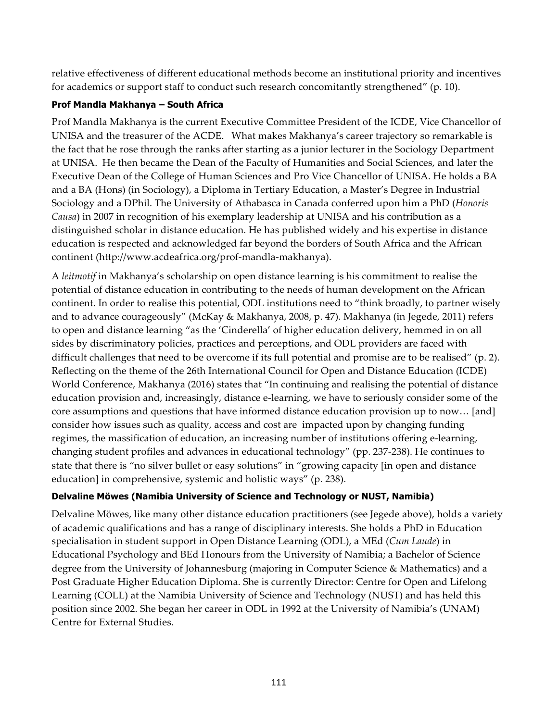relative effectiveness of different educational methods become an institutional priority and incentives for academics or support staff to conduct such research concomitantly strengthened" (p. 10).

#### **Prof Mandla Makhanya – South Africa**

Prof Mandla Makhanya is the current Executive Committee President of the ICDE, Vice Chancellor of UNISA and the treasurer of the ACDE. What makes Makhanya's career trajectory so remarkable is the fact that he rose through the ranks after starting as a junior lecturer in the Sociology Department at UNISA. He then became the Dean of the Faculty of Humanities and Social Sciences, and later the Executive Dean of the College of Human Sciences and Pro Vice Chancellor of UNISA. He holds a BA and a BA (Hons) (in Sociology), a Diploma in Tertiary Education, a Master's Degree in Industrial Sociology and a DPhil. The University of Athabasca in Canada conferred upon him a PhD (*Honoris Causa*) in 2007 in recognition of his exemplary leadership at UNISA and his contribution as a distinguished scholar in distance education. He has published widely and his expertise in distance education is respected and acknowledged far beyond the borders of South Africa and the African continent (http://www.acdeafrica.org/prof-mandla-makhanya).

A *leitmotif* in Makhanya's scholarship on open distance learning is his commitment to realise the potential of distance education in contributing to the needs of human development on the African continent. In order to realise this potential, ODL institutions need to "think broadly, to partner wisely and to advance courageously" (McKay & Makhanya, 2008, p. 47). Makhanya (in Jegede, 2011) refers to open and distance learning "as the 'Cinderella' of higher education delivery, hemmed in on all sides by discriminatory policies, practices and perceptions, and ODL providers are faced with difficult challenges that need to be overcome if its full potential and promise are to be realised" (p. 2). Reflecting on the theme of the 26th International Council for Open and Distance Education (ICDE) World Conference, Makhanya (2016) states that "In continuing and realising the potential of distance education provision and, increasingly, distance e-learning, we have to seriously consider some of the core assumptions and questions that have informed distance education provision up to now… [and] consider how issues such as quality, access and cost are impacted upon by changing funding regimes, the massification of education, an increasing number of institutions offering e-learning, changing student profiles and advances in educational technology" (pp. 237-238). He continues to state that there is "no silver bullet or easy solutions" in "growing capacity [in open and distance education] in comprehensive, systemic and holistic ways" (p. 238).

## **Delvaline Möwes (Namibia University of Science and Technology or NUST, Namibia)**

Delvaline Möwes, like many other distance education practitioners (see Jegede above), holds a variety of academic qualifications and has a range of disciplinary interests. She holds a PhD in Education specialisation in student support in Open Distance Learning (ODL), a MEd (*Cum Laude*) in Educational Psychology and BEd Honours from the University of Namibia; a Bachelor of Science degree from the University of Johannesburg (majoring in Computer Science & Mathematics) and a Post Graduate Higher Education Diploma. She is currently Director: Centre for Open and Lifelong Learning (COLL) at the Namibia University of Science and Technology (NUST) and has held this position since 2002. She began her career in ODL in 1992 at the University of Namibia's (UNAM) Centre for External Studies.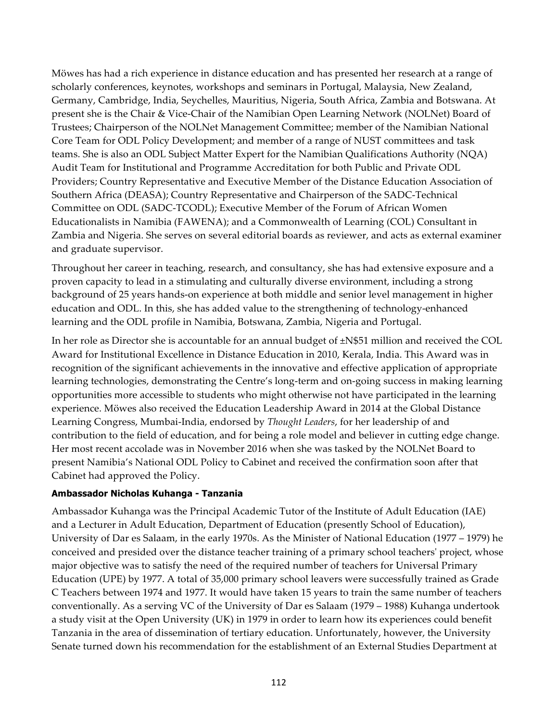Möwes has had a rich experience in distance education and has presented her research at a range of scholarly conferences, keynotes, workshops and seminars in Portugal, Malaysia, New Zealand, Germany, Cambridge, India, Seychelles, Mauritius, Nigeria, South Africa, Zambia and Botswana. At present she is the Chair & Vice-Chair of the Namibian Open Learning Network (NOLNet) Board of Trustees; Chairperson of the NOLNet Management Committee; member of the Namibian National Core Team for ODL Policy Development; and member of a range of NUST committees and task teams. She is also an ODL Subject Matter Expert for the Namibian Qualifications Authority (NQA) Audit Team for Institutional and Programme Accreditation for both Public and Private ODL Providers; Country Representative and Executive Member of the Distance Education Association of Southern Africa (DEASA); Country Representative and Chairperson of the SADC-Technical Committee on ODL (SADC-TCODL); Executive Member of the Forum of African Women Educationalists in Namibia (FAWENA); and a Commonwealth of Learning (COL) Consultant in Zambia and Nigeria. She serves on several editorial boards as reviewer, and acts as external examiner and graduate supervisor.

Throughout her career in teaching, research, and consultancy, she has had extensive exposure and a proven capacity to lead in a stimulating and culturally diverse environment, including a strong background of 25 years hands-on experience at both middle and senior level management in higher education and ODL. In this, she has added value to the strengthening of technology-enhanced learning and the ODL profile in Namibia, Botswana, Zambia, Nigeria and Portugal.

In her role as Director she is accountable for an annual budget of ±N\$51 million and received the COL Award for Institutional Excellence in Distance Education in 2010, Kerala, India. This Award was in recognition of the significant achievements in the innovative and effective application of appropriate learning technologies, demonstrating the Centre's long-term and on-going success in making learning opportunities more accessible to students who might otherwise not have participated in the learning experience. Möwes also received the Education Leadership Award in 2014 at the Global Distance Learning Congress, Mumbai-India, endorsed by *Thought Leaders*, for her leadership of and contribution to the field of education, and for being a role model and believer in cutting edge change. Her most recent accolade was in November 2016 when she was tasked by the NOLNet Board to present Namibia's National ODL Policy to Cabinet and received the confirmation soon after that Cabinet had approved the Policy.

#### **Ambassador Nicholas Kuhanga - Tanzania**

Ambassador Kuhanga was the Principal Academic Tutor of the Institute of Adult Education (IAE) and a Lecturer in Adult Education, Department of Education (presently School of Education), University of Dar es Salaam, in the early 1970s. As the Minister of National Education (1977 – 1979) he conceived and presided over the distance teacher training of a primary school teachers' project, whose major objective was to satisfy the need of the required number of teachers for Universal Primary Education (UPE) by 1977. A total of 35,000 primary school leavers were successfully trained as Grade C Teachers between 1974 and 1977. It would have taken 15 years to train the same number of teachers conventionally. As a serving VC of the University of Dar es Salaam (1979 – 1988) Kuhanga undertook a study visit at the Open University (UK) in 1979 in order to learn how its experiences could benefit Tanzania in the area of dissemination of tertiary education. Unfortunately, however, the University Senate turned down his recommendation for the establishment of an External Studies Department at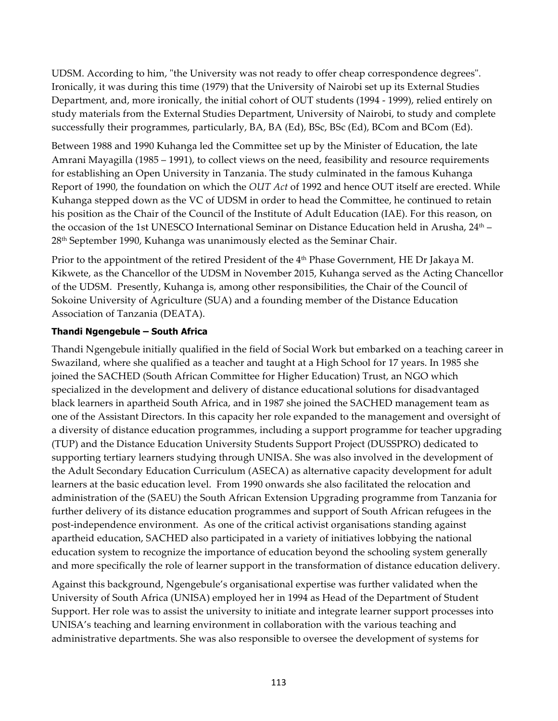UDSM. According to him, "the University was not ready to offer cheap correspondence degrees". Ironically, it was during this time (1979) that the University of Nairobi set up its External Studies Department, and, more ironically, the initial cohort of OUT students (1994 - 1999), relied entirely on study materials from the External Studies Department, University of Nairobi, to study and complete successfully their programmes, particularly, BA, BA (Ed), BSc, BSc (Ed), BCom and BCom (Ed).

Between 1988 and 1990 Kuhanga led the Committee set up by the Minister of Education, the late Amrani Mayagilla (1985 – 1991), to collect views on the need, feasibility and resource requirements for establishing an Open University in Tanzania. The study culminated in the famous Kuhanga Report of 1990, the foundation on which the *OUT Act* of 1992 and hence OUT itself are erected. While Kuhanga stepped down as the VC of UDSM in order to head the Committee, he continued to retain his position as the Chair of the Council of the Institute of Adult Education (IAE). For this reason, on the occasion of the 1st UNESCO International Seminar on Distance Education held in Arusha,  $24<sup>th</sup> -$ 28th September 1990, Kuhanga was unanimously elected as the Seminar Chair.

Prior to the appointment of the retired President of the 4<sup>th</sup> Phase Government, HE Dr Jakaya M. Kikwete, as the Chancellor of the UDSM in November 2015, Kuhanga served as the Acting Chancellor of the UDSM. Presently, Kuhanga is, among other responsibilities, the Chair of the Council of Sokoine University of Agriculture (SUA) and a founding member of the Distance Education Association of Tanzania (DEATA).

#### **Thandi Ngengebule – South Africa**

Thandi Ngengebule initially qualified in the field of Social Work but embarked on a teaching career in Swaziland, where she qualified as a teacher and taught at a High School for 17 years. In 1985 she joined the SACHED (South African Committee for Higher Education) Trust, an NGO which specialized in the development and delivery of distance educational solutions for disadvantaged black learners in apartheid South Africa, and in 1987 she joined the SACHED management team as one of the Assistant Directors. In this capacity her role expanded to the management and oversight of a diversity of distance education programmes, including a support programme for teacher upgrading (TUP) and the Distance Education University Students Support Project (DUSSPRO) dedicated to supporting tertiary learners studying through UNISA. She was also involved in the development of the Adult Secondary Education Curriculum (ASECA) as alternative capacity development for adult learners at the basic education level. From 1990 onwards she also facilitated the relocation and administration of the (SAEU) the South African Extension Upgrading programme from Tanzania for further delivery of its distance education programmes and support of South African refugees in the post-independence environment. As one of the critical activist organisations standing against apartheid education, SACHED also participated in a variety of initiatives lobbying the national education system to recognize the importance of education beyond the schooling system generally and more specifically the role of learner support in the transformation of distance education delivery.

Against this background, Ngengebule's organisational expertise was further validated when the University of South Africa (UNISA) employed her in 1994 as Head of the Department of Student Support. Her role was to assist the university to initiate and integrate learner support processes into UNISA's teaching and learning environment in collaboration with the various teaching and administrative departments. She was also responsible to oversee the development of systems for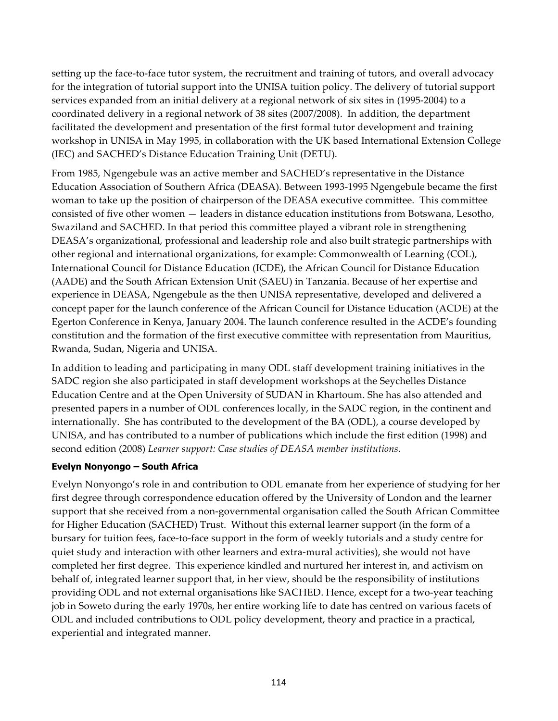setting up the face-to-face tutor system, the recruitment and training of tutors, and overall advocacy for the integration of tutorial support into the UNISA tuition policy. The delivery of tutorial support services expanded from an initial delivery at a regional network of six sites in (1995-2004) to a coordinated delivery in a regional network of 38 sites (2007/2008). In addition, the department facilitated the development and presentation of the first formal tutor development and training workshop in UNISA in May 1995, in collaboration with the UK based International Extension College (IEC) and SACHED's Distance Education Training Unit (DETU).

From 1985, Ngengebule was an active member and SACHED's representative in the Distance Education Association of Southern Africa (DEASA). Between 1993-1995 Ngengebule became the first woman to take up the position of chairperson of the DEASA executive committee. This committee consisted of five other women — leaders in distance education institutions from Botswana, Lesotho, Swaziland and SACHED. In that period this committee played a vibrant role in strengthening DEASA's organizational, professional and leadership role and also built strategic partnerships with other regional and international organizations, for example: Commonwealth of Learning (COL), International Council for Distance Education (ICDE), the African Council for Distance Education (AADE) and the South African Extension Unit (SAEU) in Tanzania. Because of her expertise and experience in DEASA, Ngengebule as the then UNISA representative, developed and delivered a concept paper for the launch conference of the African Council for Distance Education (ACDE) at the Egerton Conference in Kenya, January 2004. The launch conference resulted in the ACDE's founding constitution and the formation of the first executive committee with representation from Mauritius, Rwanda, Sudan, Nigeria and UNISA.

In addition to leading and participating in many ODL staff development training initiatives in the SADC region she also participated in staff development workshops at the Seychelles Distance Education Centre and at the Open University of SUDAN in Khartoum. She has also attended and presented papers in a number of ODL conferences locally, in the SADC region, in the continent and internationally. She has contributed to the development of the BA (ODL), a course developed by UNISA, and has contributed to a number of publications which include the first edition (1998) and second edition (2008) *Learner support: Case studies of DEASA member institutions.*

#### **Evelyn Nonyongo – South Africa**

Evelyn Nonyongo's role in and contribution to ODL emanate from her experience of studying for her first degree through correspondence education offered by the University of London and the learner support that she received from a non-governmental organisation called the South African Committee for Higher Education (SACHED) Trust. Without this external learner support (in the form of a bursary for tuition fees, face-to-face support in the form of weekly tutorials and a study centre for quiet study and interaction with other learners and extra-mural activities), she would not have completed her first degree. This experience kindled and nurtured her interest in, and activism on behalf of, integrated learner support that, in her view, should be the responsibility of institutions providing ODL and not external organisations like SACHED. Hence, except for a two-year teaching job in Soweto during the early 1970s, her entire working life to date has centred on various facets of ODL and included contributions to ODL policy development, theory and practice in a practical, experiential and integrated manner.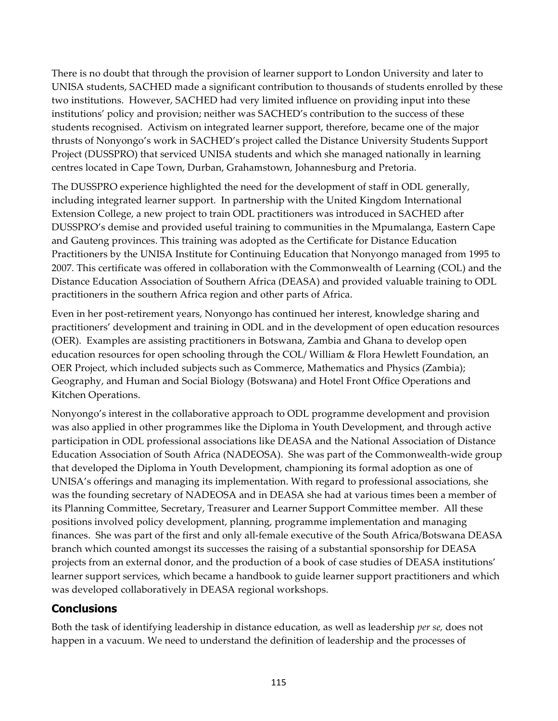There is no doubt that through the provision of learner support to London University and later to UNISA students, SACHED made a significant contribution to thousands of students enrolled by these two institutions. However, SACHED had very limited influence on providing input into these institutions' policy and provision; neither was SACHED's contribution to the success of these students recognised. Activism on integrated learner support, therefore, became one of the major thrusts of Nonyongo's work in SACHED's project called the Distance University Students Support Project (DUSSPRO) that serviced UNISA students and which she managed nationally in learning centres located in Cape Town, Durban, Grahamstown, Johannesburg and Pretoria.

The DUSSPRO experience highlighted the need for the development of staff in ODL generally, including integrated learner support. In partnership with the United Kingdom International Extension College, a new project to train ODL practitioners was introduced in SACHED after DUSSPRO's demise and provided useful training to communities in the Mpumalanga, Eastern Cape and Gauteng provinces. This training was adopted as the Certificate for Distance Education Practitioners by the UNISA Institute for Continuing Education that Nonyongo managed from 1995 to 2007. This certificate was offered in collaboration with the Commonwealth of Learning (COL) and the Distance Education Association of Southern Africa (DEASA) and provided valuable training to ODL practitioners in the southern Africa region and other parts of Africa.

Even in her post-retirement years, Nonyongo has continued her interest, knowledge sharing and practitioners' development and training in ODL and in the development of open education resources (OER). Examples are assisting practitioners in Botswana, Zambia and Ghana to develop open education resources for open schooling through the COL/ William & Flora Hewlett Foundation, an OER Project, which included subjects such as Commerce, Mathematics and Physics (Zambia); Geography, and Human and Social Biology (Botswana) and Hotel Front Office Operations and Kitchen Operations.

Nonyongo's interest in the collaborative approach to ODL programme development and provision was also applied in other programmes like the Diploma in Youth Development, and through active participation in ODL professional associations like DEASA and the National Association of Distance Education Association of South Africa (NADEOSA). She was part of the Commonwealth-wide group that developed the Diploma in Youth Development, championing its formal adoption as one of UNISA's offerings and managing its implementation. With regard to professional associations, she was the founding secretary of NADEOSA and in DEASA she had at various times been a member of its Planning Committee, Secretary, Treasurer and Learner Support Committee member. All these positions involved policy development, planning, programme implementation and managing finances. She was part of the first and only all-female executive of the South Africa/Botswana DEASA branch which counted amongst its successes the raising of a substantial sponsorship for DEASA projects from an external donor, and the production of a book of case studies of DEASA institutions' learner support services, which became a handbook to guide learner support practitioners and which was developed collaboratively in DEASA regional workshops.

## **Conclusions**

Both the task of identifying leadership in distance education, as well as leadership *per se,* does not happen in a vacuum. We need to understand the definition of leadership and the processes of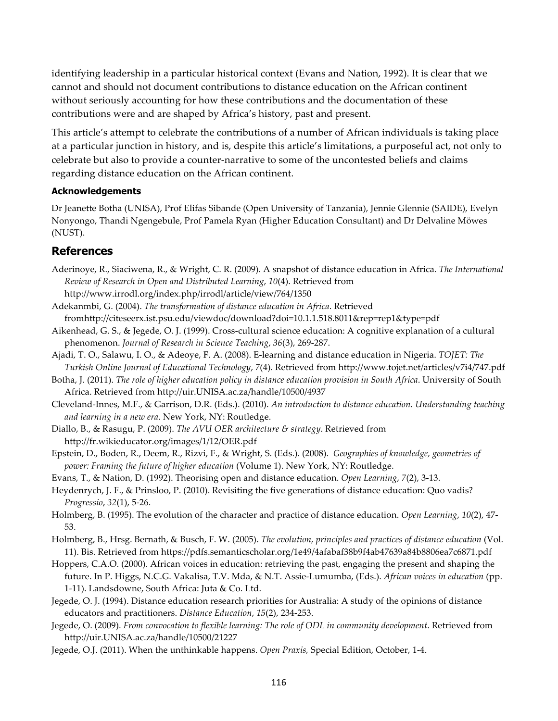identifying leadership in a particular historical context (Evans and Nation, 1992). It is clear that we cannot and should not document contributions to distance education on the African continent without seriously accounting for how these contributions and the documentation of these contributions were and are shaped by Africa's history, past and present.

This article's attempt to celebrate the contributions of a number of African individuals is taking place at a particular junction in history, and is, despite this article's limitations, a purposeful act, not only to celebrate but also to provide a counter-narrative to some of the uncontested beliefs and claims regarding distance education on the African continent.

#### **Acknowledgements**

Dr Jeanette Botha (UNISA), Prof Elifas Sibande (Open University of Tanzania), Jennie Glennie (SAIDE), Evelyn Nonyongo, Thandi Ngengebule, Prof Pamela Ryan (Higher Education Consultant) and Dr Delvaline Möwes (NUST).

## **References**

- Aderinoye, R., Siaciwena, R., & Wright, C. R. (2009). A snapshot of distance education in Africa. *The International Review of Research in Open and Distributed Learning*, *10*(4). Retrieved from http://www.irrodl.org/index.php/irrodl/article/view/764/1350
- Adekanmbi, G. (2004). *The transformation of distance education in Africa*. Retrieved fromhttp://citeseerx.ist.psu.edu/viewdoc/download?doi=10.1.1.518.8011&rep=rep1&type=pdf
- Aikenhead, G. S., & Jegede, O. J. (1999). Cross-cultural science education: A cognitive explanation of a cultural phenomenon. *Journal of Research in Science Teaching*, *36*(3), 269-287.
- Ajadi, T. O., Salawu, I. O., & Adeoye, F. A. (2008). E-learning and distance education in Nigeria. *TOJET: The Turkish Online Journal of Educational Technology*, *7*(4). Retrieved from http://www.tojet.net/articles/v7i4/747.pdf
- Botha, J. (2011). *The role of higher education policy in distance education provision in South Africa*. University of South Africa. Retrieved from http://uir.UNISA.ac.za/handle/10500/4937
- Cleveland-Innes, M.F., & Garrison, D.R. (Eds.). (2010). *An introduction to distance education. Understanding teaching and learning in a new era*. New York, NY: Routledge.
- Diallo, B., & Rasugu, P. (2009). *The AVU OER architecture & strategy*. Retrieved from http://fr.wikieducator.org/images/1/12/OER.pdf
- Epstein, D., Boden, R., Deem, R., Rizvi, F., & Wright, S. (Eds.). (2008). *Geographies of knowledge, geometries of power: Framing the future of higher education* (Volume 1). New York, NY: Routledge.
- Evans, T., & Nation, D. (1992). Theorising open and distance education. *Open Learning*, *7*(2), 3-13.
- Heydenrych, J. F., & Prinsloo, P. (2010). Revisiting the five generations of distance education: Quo vadis? *Progressio*, *32*(1), 5-26.
- Holmberg, B. (1995). The evolution of the character and practice of distance education. *Open Learning*, *10*(2), 47- 53.
- Holmberg, B., Hrsg. Bernath, & Busch, F. W. (2005). *The evolution, principles and practices of distance education* (Vol. 11). Bis. Retrieved from https://pdfs.semanticscholar.org/1e49/4afabaf38b9f4ab47639a84b8806ea7c6871.pdf
- Hoppers, C.A.O. (2000). African voices in education: retrieving the past, engaging the present and shaping the future. In P. Higgs, N.C.G. Vakalisa, T.V. Mda, & N.T. Assie-Lumumba, (Eds.). *African voices in education* (pp. 1-11). Landsdowne, South Africa: Juta & Co. Ltd.
- Jegede, O. J. (1994). Distance education research priorities for Australia: A study of the opinions of distance educators and practitioners. *Distance Education*, *15*(2), 234-253.
- Jegede, O. (2009). *From convocation to flexible learning: The role of ODL in community development*. Retrieved from http://uir.UNISA.ac.za/handle/10500/21227
- Jegede, O.J. (2011). When the unthinkable happens. *Open Praxis,* Special Edition, October, 1-4.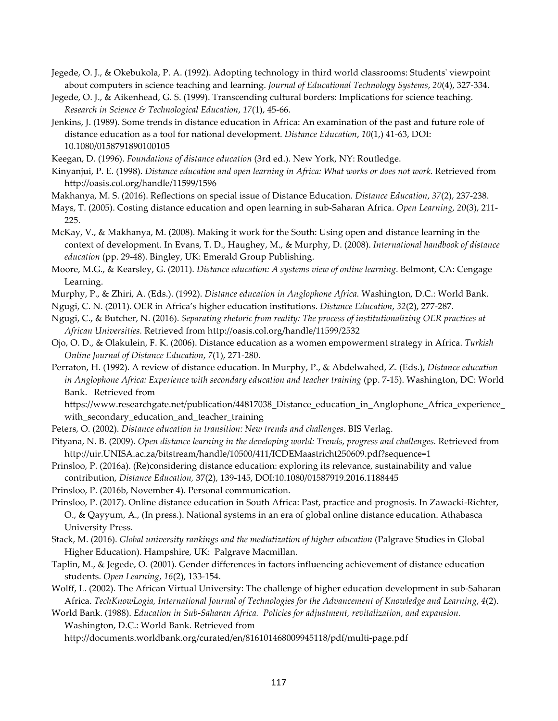- Jegede, O. J., & Okebukola, P. A. (1992). Adopting technology in third world classrooms: Students' viewpoint about computers in science teaching and learning. *Journal of Educational Technology Systems*, *20*(4), 327-334.
- Jegede, O. J., & Aikenhead, G. S. (1999). Transcending cultural borders: Implications for science teaching. *Research in Science & Technological Education*, *17*(1), 45-66.
- Jenkins, J. (1989). Some trends in distance education in Africa: An examination of the past and future role of distance education as a tool for national development. *Distance Education*, *10*(1,) 41-63, DOI: 10.1080/0158791890100105

Keegan, D. (1996). *Foundations of distance education* (3rd ed.). New York, NY: Routledge.

- Kinyanjui, P. E. (1998). *Distance education and open learning in Africa: What works or does not work.* Retrieved from http://oasis.col.org/handle/11599/1596
- Makhanya, M. S. (2016). Reflections on special issue of Distance Education. *Distance Education*, *37*(2), 237-238.
- Mays, T. (2005). Costing distance education and open learning in sub-Saharan Africa. *Open Learning*, *20*(3), 211- 225.

McKay, V., & Makhanya, M. (2008). Making it work for the South: Using open and distance learning in the context of development. In Evans, T. D., Haughey, M., & Murphy, D. (2008). *International handbook of distance education* (pp. 29-48). Bingley, UK: Emerald Group Publishing.

Moore, M.G., & Kearsley, G. (2011). *Distance education: A systems view of online learning*. Belmont, CA: Cengage Learning.

Murphy, P., & Zhiri, A. (Eds.). (1992). *Distance education in Anglophone Africa.* Washington, D.C.: World Bank.

- Ngugi, C. N. (2011). OER in Africa's higher education institutions. *Distance Education*, *32*(2), 277-287.
- Ngugi, C., & Butcher, N. (2016). *Separating rhetoric from reality: The process of institutionalizing OER practices at African Universities.* Retrieved from http://oasis.col.org/handle/11599/2532
- Ojo, O. D., & Olakulein, F. K. (2006). Distance education as a women empowerment strategy in Africa. *Turkish Online Journal of Distance Education*, *7*(1), 271-280.
- Perraton, H. (1992). A review of distance education. In Murphy, P., & Abdelwahed, Z. (Eds.), *Distance education in Anglophone Africa: Experience with secondary education and teacher training* (pp. 7-15). Washington, DC: World Bank. Retrieved from

https://www.researchgate.net/publication/44817038\_Distance\_education\_in\_Anglophone\_Africa\_experience\_ with\_secondary\_education\_and\_teacher\_training

- Peters, O. (2002). *Distance education in transition: New trends and challenges*. BIS Verlag.
- Pityana, N. B. (2009). *Open distance learning in the developing world: Trends, progress and challenges.* Retrieved from http://uir.UNISA.ac.za/bitstream/handle/10500/411/ICDEMaastricht250609.pdf?sequence=1

Prinsloo, P. (2016a). (Re)considering distance education: exploring its relevance, sustainability and value contribution, *Distance Education,* 37(2), 139-145, DOI:10.1080/01587919.2016.1188445

Prinsloo, P. (2016b, November 4). Personal communication.

Prinsloo, P. (2017). Online distance education in South Africa: Past, practice and prognosis. In Zawacki-Richter, O., & Qayyum, A., (In press.). National systems in an era of global online distance education. Athabasca University Press.

- Stack, M. (2016). *Global university rankings and the mediatization of higher education* (Palgrave Studies in Global Higher Education). Hampshire, UK: Palgrave Macmillan.
- Taplin, M., & Jegede, O. (2001). Gender differences in factors influencing achievement of distance education students. *Open Learning*, *16*(2), 133-154.
- Wolff, L. (2002). The African Virtual University: The challenge of higher education development in sub-Saharan Africa. *TechKnowLogia, International Journal of Technologies for the Advancement of Knowledge and Learning*, *4*(2).

World Bank. (1988). *Education in Sub-Saharan Africa. Policies for adjustment, revitalization, and expansion.* Washington, D.C.: World Bank. Retrieved from

http://documents.worldbank.org/curated/en/816101468009945118/pdf/multi-page.pdf